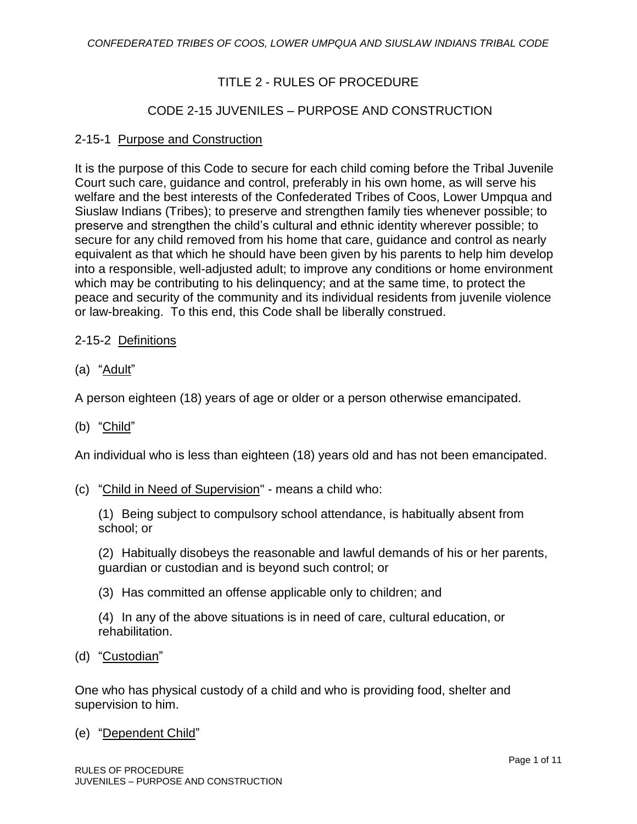# TITLE 2 - RULES OF PROCEDURE

# CODE 2-15 JUVENILES – PURPOSE AND CONSTRUCTION

## 2-15-1 Purpose and Construction

It is the purpose of this Code to secure for each child coming before the Tribal Juvenile Court such care, guidance and control, preferably in his own home, as will serve his welfare and the best interests of the Confederated Tribes of Coos, Lower Umpqua and Siuslaw Indians (Tribes); to preserve and strengthen family ties whenever possible; to preserve and strengthen the child's cultural and ethnic identity wherever possible; to secure for any child removed from his home that care, guidance and control as nearly equivalent as that which he should have been given by his parents to help him develop into a responsible, well-adjusted adult; to improve any conditions or home environment which may be contributing to his delinquency; and at the same time, to protect the peace and security of the community and its individual residents from juvenile violence or law-breaking. To this end, this Code shall be liberally construed.

## 2-15-2 Definitions

(a) "Adult"

A person eighteen (18) years of age or older or a person otherwise emancipated.

(b) "Child"

An individual who is less than eighteen (18) years old and has not been emancipated.

(c) "Child in Need of Supervision" - means a child who:

(1) Being subject to compulsory school attendance, is habitually absent from school; or

(2) Habitually disobeys the reasonable and lawful demands of his or her parents, guardian or custodian and is beyond such control; or

(3) Has committed an offense applicable only to children; and

(4) In any of the above situations is in need of care, cultural education, or rehabilitation.

(d) "Custodian"

One who has physical custody of a child and who is providing food, shelter and supervision to him.

### (e) "Dependent Child"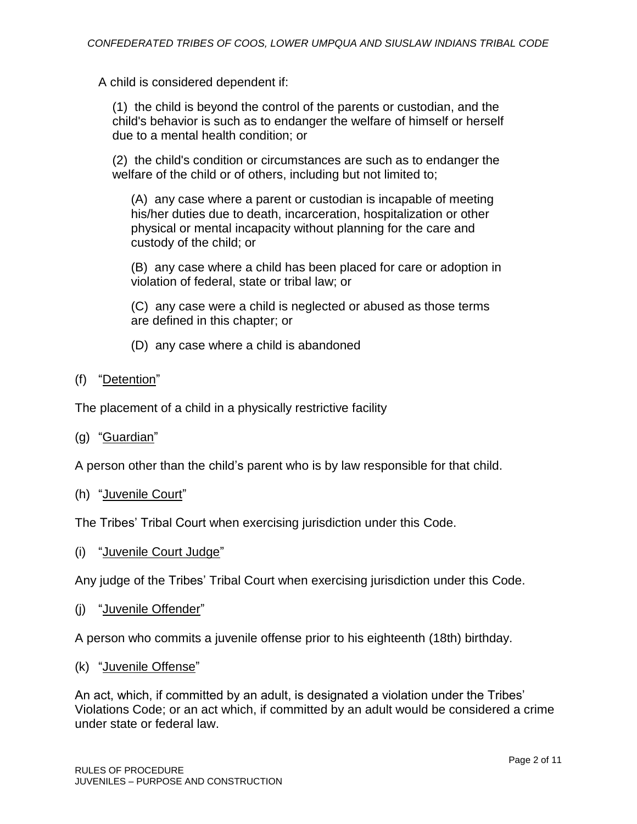A child is considered dependent if:

(1) the child is beyond the control of the parents or custodian, and the child's behavior is such as to endanger the welfare of himself or herself due to a mental health condition; or

(2) the child's condition or circumstances are such as to endanger the welfare of the child or of others, including but not limited to;

(A) any case where a parent or custodian is incapable of meeting his/her duties due to death, incarceration, hospitalization or other physical or mental incapacity without planning for the care and custody of the child; or

(B) any case where a child has been placed for care or adoption in violation of federal, state or tribal law; or

(C) any case were a child is neglected or abused as those terms are defined in this chapter; or

(D) any case where a child is abandoned

(f) "Detention"

The placement of a child in a physically restrictive facility

(g) "Guardian"

A person other than the child's parent who is by law responsible for that child.

(h) "Juvenile Court"

The Tribes' Tribal Court when exercising jurisdiction under this Code.

(i) "Juvenile Court Judge"

Any judge of the Tribes' Tribal Court when exercising jurisdiction under this Code.

(j) "Juvenile Offender"

A person who commits a juvenile offense prior to his eighteenth (18th) birthday.

(k) "Juvenile Offense"

An act, which, if committed by an adult, is designated a violation under the Tribes' Violations Code; or an act which, if committed by an adult would be considered a crime under state or federal law.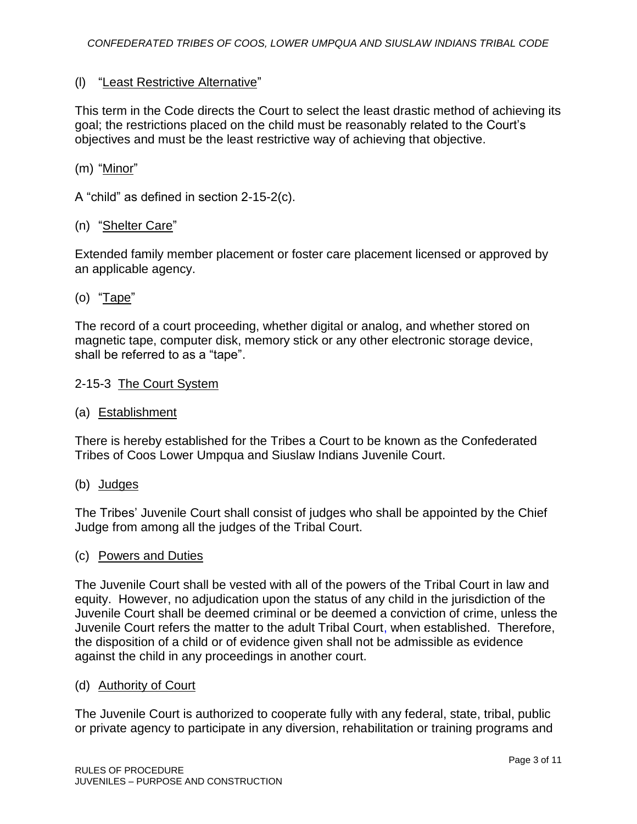## (l) "Least Restrictive Alternative"

This term in the Code directs the Court to select the least drastic method of achieving its goal; the restrictions placed on the child must be reasonably related to the Court's objectives and must be the least restrictive way of achieving that objective.

### (m) "Minor"

A "child" as defined in section 2-15-2(c).

### (n) "Shelter Care"

Extended family member placement or foster care placement licensed or approved by an applicable agency.

## (o) "Tape"

The record of a court proceeding, whether digital or analog, and whether stored on magnetic tape, computer disk, memory stick or any other electronic storage device, shall be referred to as a "tape".

### 2-15-3 The Court System

#### (a) Establishment

There is hereby established for the Tribes a Court to be known as the Confederated Tribes of Coos Lower Umpqua and Siuslaw Indians Juvenile Court.

(b) Judges

The Tribes' Juvenile Court shall consist of judges who shall be appointed by the Chief Judge from among all the judges of the Tribal Court.

#### (c) Powers and Duties

The Juvenile Court shall be vested with all of the powers of the Tribal Court in law and equity. However, no adjudication upon the status of any child in the jurisdiction of the Juvenile Court shall be deemed criminal or be deemed a conviction of crime, unless the Juvenile Court refers the matter to the adult Tribal Court, when established. Therefore, the disposition of a child or of evidence given shall not be admissible as evidence against the child in any proceedings in another court.

#### (d) Authority of Court

The Juvenile Court is authorized to cooperate fully with any federal, state, tribal, public or private agency to participate in any diversion, rehabilitation or training programs and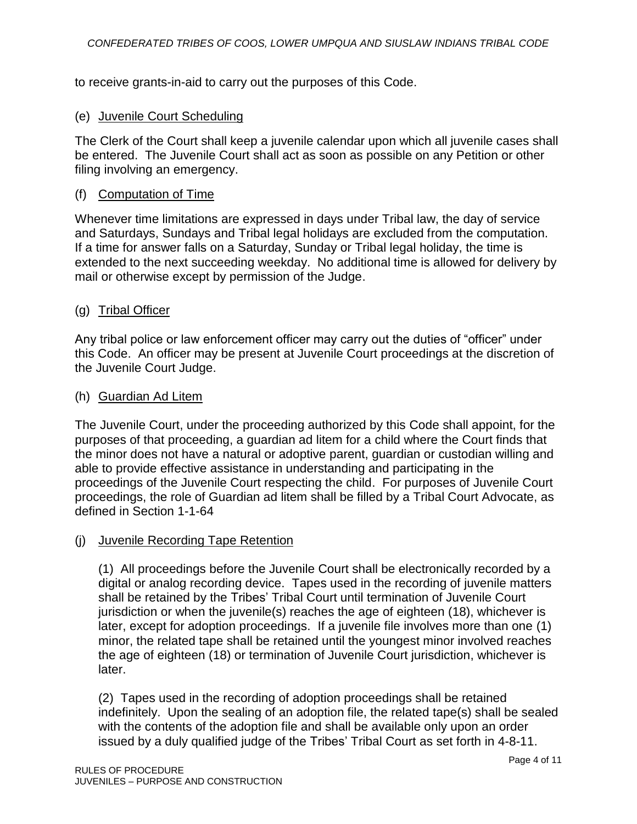to receive grants-in-aid to carry out the purposes of this Code.

## (e) Juvenile Court Scheduling

The Clerk of the Court shall keep a juvenile calendar upon which all juvenile cases shall be entered. The Juvenile Court shall act as soon as possible on any Petition or other filing involving an emergency.

## (f) Computation of Time

Whenever time limitations are expressed in days under Tribal law, the day of service and Saturdays, Sundays and Tribal legal holidays are excluded from the computation. If a time for answer falls on a Saturday, Sunday or Tribal legal holiday, the time is extended to the next succeeding weekday. No additional time is allowed for delivery by mail or otherwise except by permission of the Judge.

## (g) Tribal Officer

Any tribal police or law enforcement officer may carry out the duties of "officer" under this Code. An officer may be present at Juvenile Court proceedings at the discretion of the Juvenile Court Judge.

### (h) Guardian Ad Litem

The Juvenile Court, under the proceeding authorized by this Code shall appoint, for the purposes of that proceeding, a guardian ad litem for a child where the Court finds that the minor does not have a natural or adoptive parent, guardian or custodian willing and able to provide effective assistance in understanding and participating in the proceedings of the Juvenile Court respecting the child. For purposes of Juvenile Court proceedings, the role of Guardian ad litem shall be filled by a Tribal Court Advocate, as defined in Section 1-1-64

## (j) Juvenile Recording Tape Retention

(1) All proceedings before the Juvenile Court shall be electronically recorded by a digital or analog recording device. Tapes used in the recording of juvenile matters shall be retained by the Tribes' Tribal Court until termination of Juvenile Court jurisdiction or when the juvenile(s) reaches the age of eighteen (18), whichever is later, except for adoption proceedings. If a juvenile file involves more than one (1) minor, the related tape shall be retained until the youngest minor involved reaches the age of eighteen (18) or termination of Juvenile Court jurisdiction, whichever is later.

(2) Tapes used in the recording of adoption proceedings shall be retained indefinitely. Upon the sealing of an adoption file, the related tape(s) shall be sealed with the contents of the adoption file and shall be available only upon an order issued by a duly qualified judge of the Tribes' Tribal Court as set forth in 4-8-11.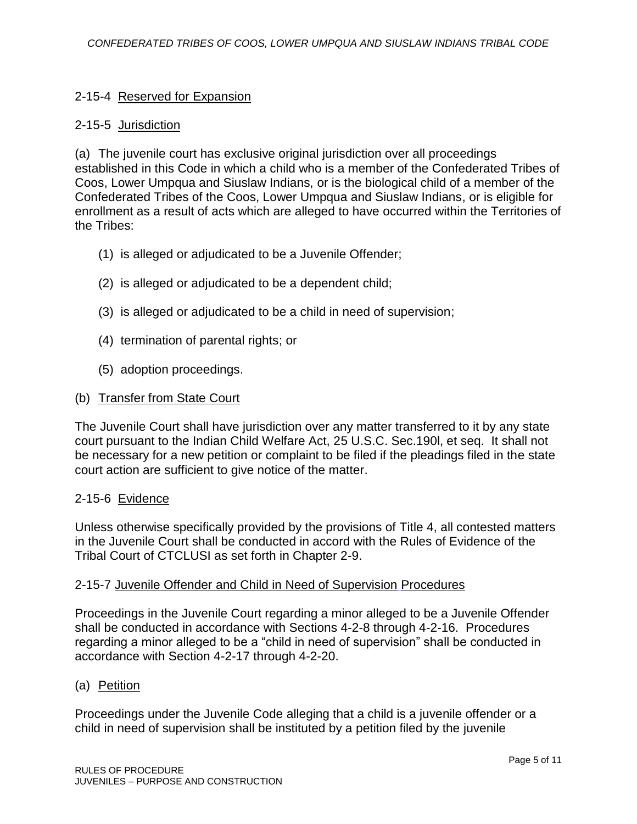## 2-15-4 Reserved for Expansion

### 2-15-5 Jurisdiction

(a) The juvenile court has exclusive original jurisdiction over all proceedings established in this Code in which a child who is a member of the Confederated Tribes of Coos, Lower Umpqua and Siuslaw Indians, or is the biological child of a member of the Confederated Tribes of the Coos, Lower Umpqua and Siuslaw Indians, or is eligible for enrollment as a result of acts which are alleged to have occurred within the Territories of the Tribes:

- (1) is alleged or adjudicated to be a Juvenile Offender;
- (2) is alleged or adjudicated to be a dependent child;
- (3) is alleged or adjudicated to be a child in need of supervision;
- (4) termination of parental rights; or
- (5) adoption proceedings.

### (b) Transfer from State Court

The Juvenile Court shall have jurisdiction over any matter transferred to it by any state court pursuant to the Indian Child Welfare Act, 25 U.S.C. Sec.190l, et seq. It shall not be necessary for a new petition or complaint to be filed if the pleadings filed in the state court action are sufficient to give notice of the matter.

### 2-15-6 Evidence

Unless otherwise specifically provided by the provisions of Title 4, all contested matters in the Juvenile Court shall be conducted in accord with the Rules of Evidence of the Tribal Court of CTCLUSI as set forth in Chapter 2-9.

### 2-15-7 Juvenile Offender and Child in Need of Supervision Procedures

Proceedings in the Juvenile Court regarding a minor alleged to be a Juvenile Offender shall be conducted in accordance with Sections 4-2-8 through 4-2-16. Procedures regarding a minor alleged to be a "child in need of supervision" shall be conducted in accordance with Section 4-2-17 through 4-2-20.

### (a) Petition

Proceedings under the Juvenile Code alleging that a child is a juvenile offender or a child in need of supervision shall be instituted by a petition filed by the juvenile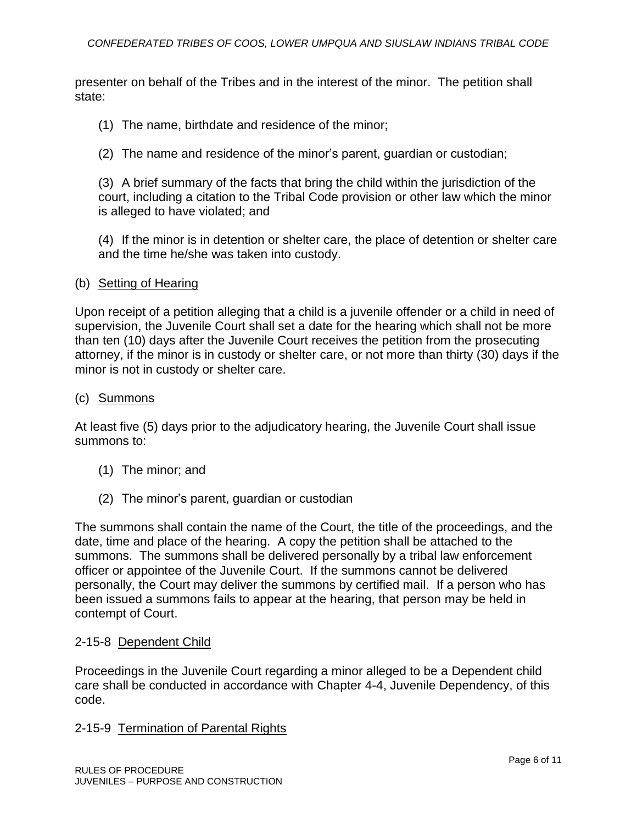presenter on behalf of the Tribes and in the interest of the minor. The petition shall state:

- (1) The name, birthdate and residence of the minor;
- (2) The name and residence of the minor's parent, guardian or custodian;

(3) A brief summary of the facts that bring the child within the jurisdiction of the court, including a citation to the Tribal Code provision or other law which the minor is alleged to have violated; and

(4) If the minor is in detention or shelter care, the place of detention or shelter care and the time he/she was taken into custody.

#### (b) Setting of Hearing

Upon receipt of a petition alleging that a child is a juvenile offender or a child in need of supervision, the Juvenile Court shall set a date for the hearing which shall not be more than ten (10) days after the Juvenile Court receives the petition from the prosecuting attorney, if the minor is in custody or shelter care, or not more than thirty (30) days if the minor is not in custody or shelter care.

#### (c) Summons

At least five (5) days prior to the adjudicatory hearing, the Juvenile Court shall issue summons to:

- (1) The minor; and
- (2) The minor's parent, guardian or custodian

The summons shall contain the name of the Court, the title of the proceedings, and the date, time and place of the hearing. A copy the petition shall be attached to the summons. The summons shall be delivered personally by a tribal law enforcement officer or appointee of the Juvenile Court. If the summons cannot be delivered personally, the Court may deliver the summons by certified mail. If a person who has been issued a summons fails to appear at the hearing, that person may be held in contempt of Court.

### 2-15-8 Dependent Child

Proceedings in the Juvenile Court regarding a minor alleged to be a Dependent child care shall be conducted in accordance with Chapter 4-4, Juvenile Dependency, of this code.

### 2-15-9 Termination of Parental Rights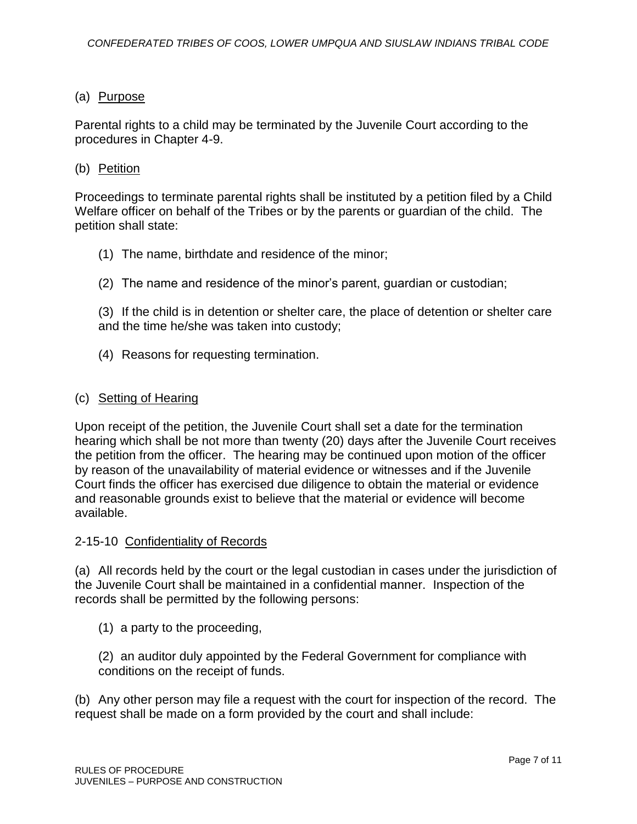## (a) Purpose

Parental rights to a child may be terminated by the Juvenile Court according to the procedures in Chapter 4-9.

### (b) Petition

Proceedings to terminate parental rights shall be instituted by a petition filed by a Child Welfare officer on behalf of the Tribes or by the parents or guardian of the child. The petition shall state:

- (1) The name, birthdate and residence of the minor;
- (2) The name and residence of the minor's parent, guardian or custodian;

(3) If the child is in detention or shelter care, the place of detention or shelter care and the time he/she was taken into custody;

(4) Reasons for requesting termination.

### (c) Setting of Hearing

Upon receipt of the petition, the Juvenile Court shall set a date for the termination hearing which shall be not more than twenty (20) days after the Juvenile Court receives the petition from the officer. The hearing may be continued upon motion of the officer by reason of the unavailability of material evidence or witnesses and if the Juvenile Court finds the officer has exercised due diligence to obtain the material or evidence and reasonable grounds exist to believe that the material or evidence will become available.

### 2-15-10 Confidentiality of Records

(a) All records held by the court or the legal custodian in cases under the jurisdiction of the Juvenile Court shall be maintained in a confidential manner. Inspection of the records shall be permitted by the following persons:

(1) a party to the proceeding,

(2) an auditor duly appointed by the Federal Government for compliance with conditions on the receipt of funds.

(b) Any other person may file a request with the court for inspection of the record. The request shall be made on a form provided by the court and shall include: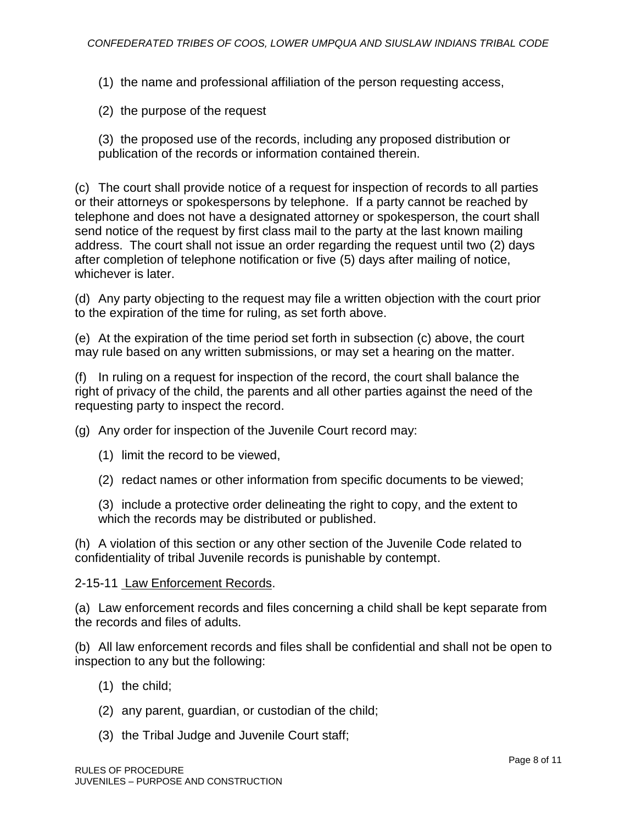(1) the name and professional affiliation of the person requesting access,

(2) the purpose of the request

(3) the proposed use of the records, including any proposed distribution or publication of the records or information contained therein.

(c) The court shall provide notice of a request for inspection of records to all parties or their attorneys or spokespersons by telephone. If a party cannot be reached by telephone and does not have a designated attorney or spokesperson, the court shall send notice of the request by first class mail to the party at the last known mailing address. The court shall not issue an order regarding the request until two (2) days after completion of telephone notification or five (5) days after mailing of notice, whichever is later.

(d) Any party objecting to the request may file a written objection with the court prior to the expiration of the time for ruling, as set forth above.

(e) At the expiration of the time period set forth in subsection (c) above, the court may rule based on any written submissions, or may set a hearing on the matter.

(f) In ruling on a request for inspection of the record, the court shall balance the right of privacy of the child, the parents and all other parties against the need of the requesting party to inspect the record.

(g) Any order for inspection of the Juvenile Court record may:

- (1) limit the record to be viewed,
- (2) redact names or other information from specific documents to be viewed;

(3) include a protective order delineating the right to copy, and the extent to which the records may be distributed or published.

(h) A violation of this section or any other section of the Juvenile Code related to confidentiality of tribal Juvenile records is punishable by contempt.

#### 2-15-11 Law Enforcement Records.

(a) Law enforcement records and files concerning a child shall be kept separate from the records and files of adults.

(b) All law enforcement records and files shall be confidential and shall not be open to inspection to any but the following:

- (1) the child;
- (2) any parent, guardian, or custodian of the child;
- (3) the Tribal Judge and Juvenile Court staff;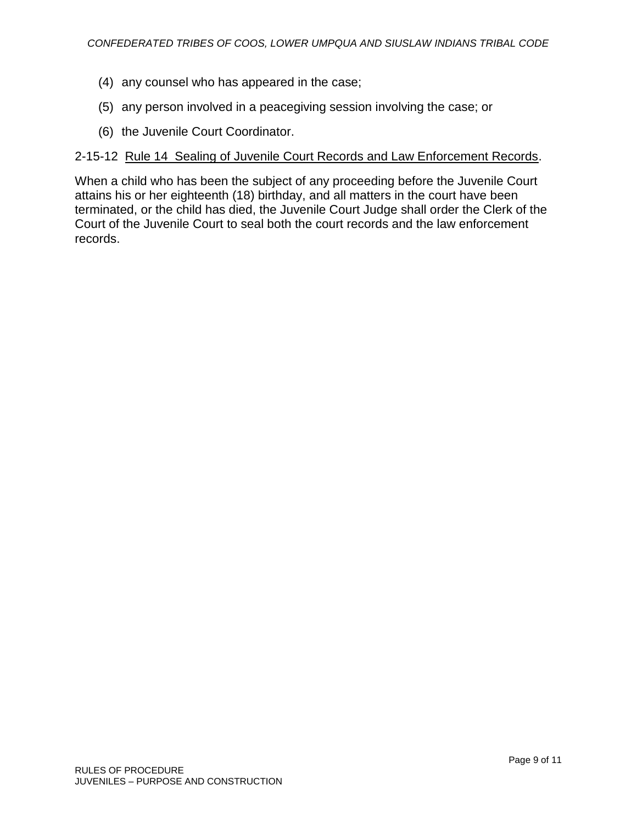- (4) any counsel who has appeared in the case;
- (5) any person involved in a peacegiving session involving the case; or
- (6) the Juvenile Court Coordinator.

### 2-15-12 Rule 14 Sealing of Juvenile Court Records and Law Enforcement Records.

When a child who has been the subject of any proceeding before the Juvenile Court attains his or her eighteenth (18) birthday, and all matters in the court have been terminated, or the child has died, the Juvenile Court Judge shall order the Clerk of the Court of the Juvenile Court to seal both the court records and the law enforcement records.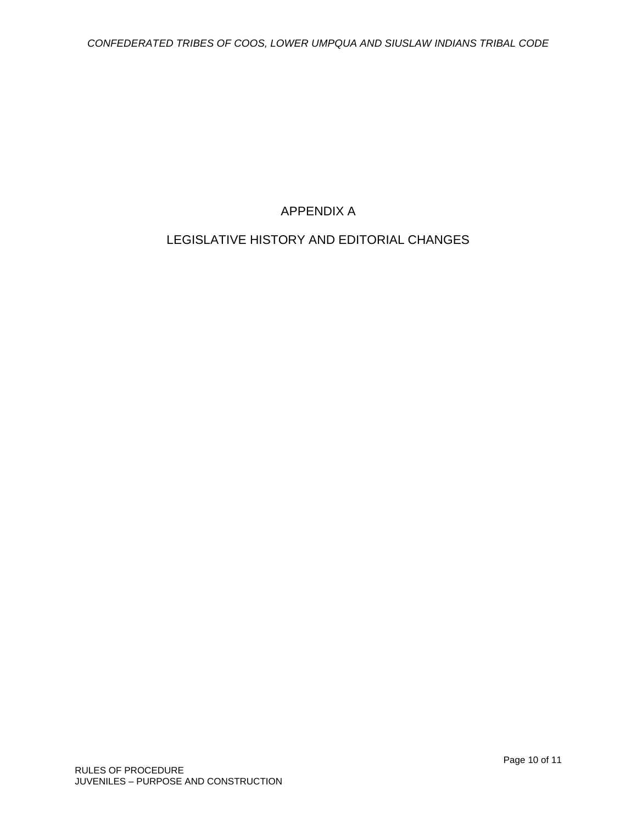# APPENDIX A

# LEGISLATIVE HISTORY AND EDITORIAL CHANGES